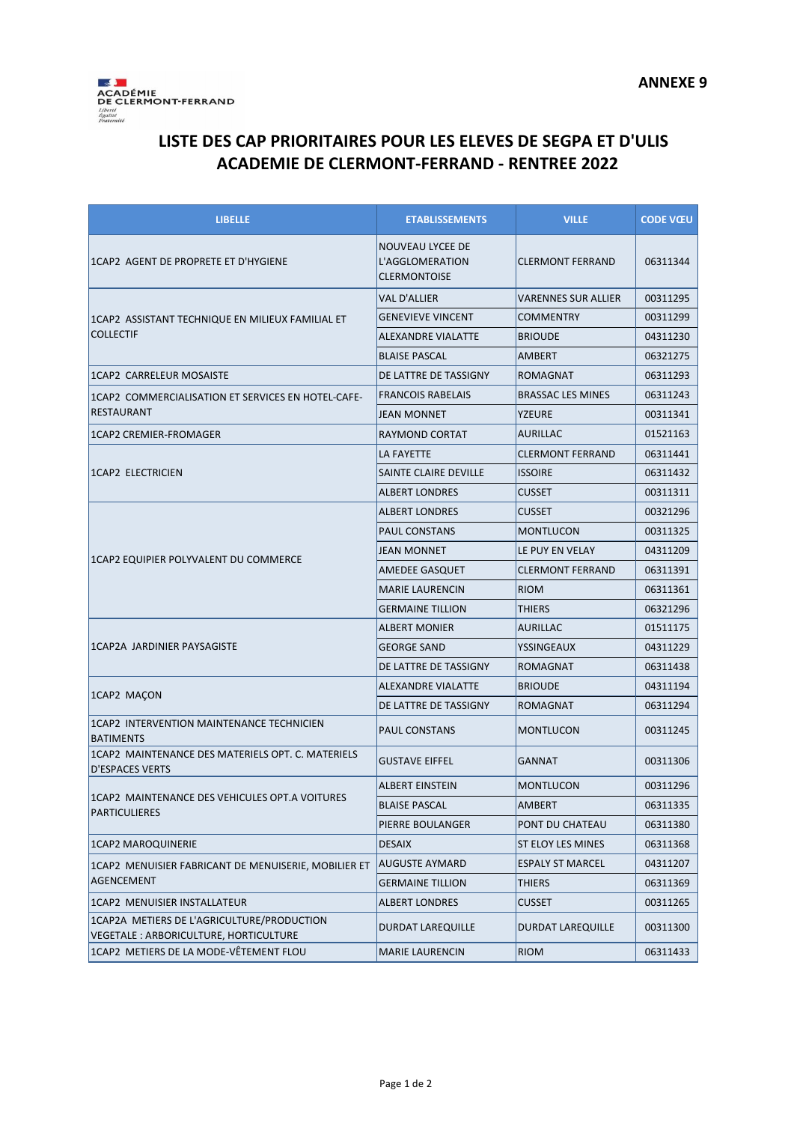

## **LISTE DES CAP PRIORITAIRES POUR LES ELEVES DE SEGPA ET D'ULIS ACADEMIE DE CLERMONT-FERRAND - RENTREE 2022**

| <b>LIBELLE</b>                                                                      | <b>ETABLISSEMENTS</b>                                      | <b>VILLE</b>               | <b>CODE VŒU</b> |
|-------------------------------------------------------------------------------------|------------------------------------------------------------|----------------------------|-----------------|
| 1CAP2 AGENT DE PROPRETE ET D'HYGIENE                                                | NOUVEAU LYCEE DE<br>L'AGGLOMERATION<br><b>CLERMONTOISE</b> | <b>CLERMONT FERRAND</b>    | 06311344        |
| 1CAP2 ASSISTANT TECHNIQUE EN MILIEUX FAMILIAL ET<br><b>COLLECTIF</b>                | <b>VAL D'ALLIER</b>                                        | <b>VARENNES SUR ALLIER</b> | 00311295        |
|                                                                                     | <b>GENEVIEVE VINCENT</b>                                   | <b>COMMENTRY</b>           | 00311299        |
|                                                                                     | <b>ALEXANDRE VIALATTE</b>                                  | <b>BRIOUDE</b>             | 04311230        |
|                                                                                     | <b>BLAISE PASCAL</b>                                       | AMBERT                     | 06321275        |
| <b>1CAP2 CARRELEUR MOSAISTE</b>                                                     | DE LATTRE DE TASSIGNY                                      | <b>ROMAGNAT</b>            | 06311293        |
| 1CAP2 COMMERCIALISATION ET SERVICES EN HOTEL-CAFE-<br><b>RESTAURANT</b>             | <b>FRANCOIS RABELAIS</b>                                   | <b>BRASSAC LES MINES</b>   | 06311243        |
|                                                                                     | <b>JEAN MONNET</b>                                         | YZEURE                     | 00311341        |
| 1CAP2 CREMIER-FROMAGER                                                              | RAYMOND CORTAT                                             | AURILLAC                   | 01521163        |
|                                                                                     | LA FAYETTE                                                 | <b>CLERMONT FERRAND</b>    | 06311441        |
| 1CAP2 ELECTRICIEN                                                                   | SAINTE CLAIRE DEVILLE                                      | <b>ISSOIRE</b>             | 06311432        |
|                                                                                     | <b>ALBERT LONDRES</b>                                      | <b>CUSSET</b>              | 00311311        |
|                                                                                     | <b>ALBERT LONDRES</b>                                      | <b>CUSSET</b>              | 00321296        |
|                                                                                     | <b>PAUL CONSTANS</b>                                       | <b>MONTLUCON</b>           | 00311325        |
|                                                                                     | <b>JEAN MONNET</b>                                         | LE PUY EN VELAY            | 04311209        |
| 1CAP2 EQUIPIER POLYVALENT DU COMMERCE                                               | <b>AMEDEE GASQUET</b>                                      | <b>CLERMONT FERRAND</b>    | 06311391        |
|                                                                                     | <b>MARIE LAURENCIN</b>                                     | <b>RIOM</b>                | 06311361        |
|                                                                                     | <b>GERMAINE TILLION</b>                                    | THIERS                     | 06321296        |
| 1CAP2A JARDINIER PAYSAGISTE                                                         | <b>ALBERT MONIER</b>                                       | <b>AURILLAC</b>            | 01511175        |
|                                                                                     | <b>GEORGE SAND</b>                                         | YSSINGEAUX                 | 04311229        |
|                                                                                     | DE LATTRE DE TASSIGNY                                      | ROMAGNAT                   | 06311438        |
|                                                                                     | ALEXANDRE VIALATTE                                         | <b>BRIOUDE</b>             | 04311194        |
| 1CAP2 MAÇON                                                                         | DE LATTRE DE TASSIGNY                                      | ROMAGNAT                   | 06311294        |
| 1CAP2 INTERVENTION MAINTENANCE TECHNICIEN<br><b>BATIMENTS</b>                       | <b>PAUL CONSTANS</b>                                       | <b>MONTLUCON</b>           | 00311245        |
| 1CAP2 MAINTENANCE DES MATERIELS OPT. C. MATERIELS<br><b>D'ESPACES VERTS</b>         | <b>GUSTAVE EIFFEL</b>                                      | GANNAT                     | 00311306        |
|                                                                                     | <b>ALBERT EINSTEIN</b>                                     | <b>MONTLUCON</b>           | 00311296        |
| 1CAP2 MAINTENANCE DES VEHICULES OPT.A VOITURES<br><b>PARTICULIERES</b>              | <b>BLAISE PASCAL</b>                                       | AMBERT                     | 06311335        |
|                                                                                     | PIERRE BOULANGER                                           | PONT DU CHATEAU            | 06311380        |
| <b>1CAP2 MAROQUINERIE</b>                                                           | <b>DESAIX</b>                                              | ST ELOY LES MINES          | 06311368        |
| 1CAP2 MENUISIER FABRICANT DE MENUISERIE, MOBILIER ET<br>AGENCEMENT                  | <b>AUGUSTE AYMARD</b>                                      | <b>ESPALY ST MARCEL</b>    | 04311207        |
|                                                                                     | <b>GERMAINE TILLION</b>                                    | THIERS                     | 06311369        |
| 1CAP2 MENUISIER INSTALLATEUR                                                        | <b>ALBERT LONDRES</b>                                      | <b>CUSSET</b>              | 00311265        |
| 1CAP2A METIERS DE L'AGRICULTURE/PRODUCTION<br>VEGETALE: ARBORICULTURE, HORTICULTURE | DURDAT LAREQUILLE                                          | <b>DURDAT LAREQUILLE</b>   | 00311300        |
| 1CAP2 METIERS DE LA MODE-VÊTEMENT FLOU                                              | <b>MARIE LAURENCIN</b>                                     | <b>RIOM</b>                | 06311433        |